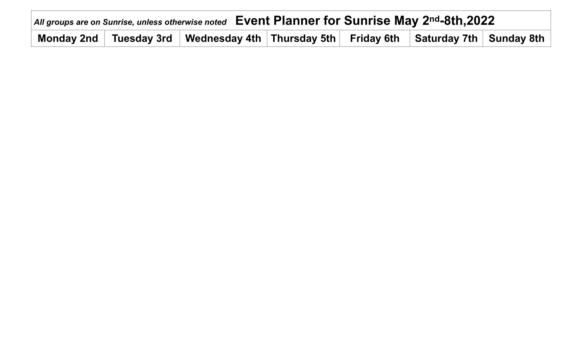| All groups are on Sunrise, unless otherwise noted Event Planner for Sunrise May 2nd-8th, 2022 |  |                                                                                                                                                                                           |  |  |  |  |  |  |  |  |
|-----------------------------------------------------------------------------------------------|--|-------------------------------------------------------------------------------------------------------------------------------------------------------------------------------------------|--|--|--|--|--|--|--|--|
|                                                                                               |  | $\, \mid \,$ Monday 2nd $\, \mid \,$ Tuesday 3rd $\, \mid \,$ Wednesday 4th $\, \mid$ Thursday 5th $\, \mid \,$ Friday 6th $\, \mid \,$ Saturday 7th $\, \mid \,$ Sunday 8th $\, \mid \,$ |  |  |  |  |  |  |  |  |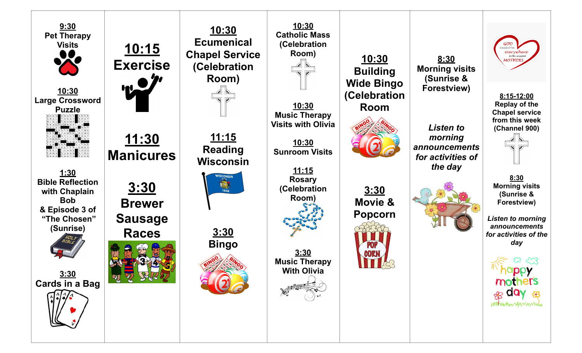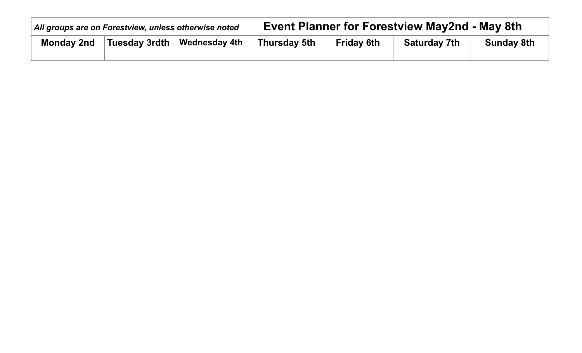| All groups are on Forestview, unless otherwise noted |                       |                      | <b>Event Planner for Forestview May2nd - May 8th</b> |                   |                     |                   |  |  |
|------------------------------------------------------|-----------------------|----------------------|------------------------------------------------------|-------------------|---------------------|-------------------|--|--|
| <b>Monday 2nd</b>                                    | Tuesday 3rdth $\vert$ | <b>Wednesday 4th</b> | Thursday 5th                                         | <b>Friday 6th</b> | <b>Saturday 7th</b> | <b>Sunday 8th</b> |  |  |